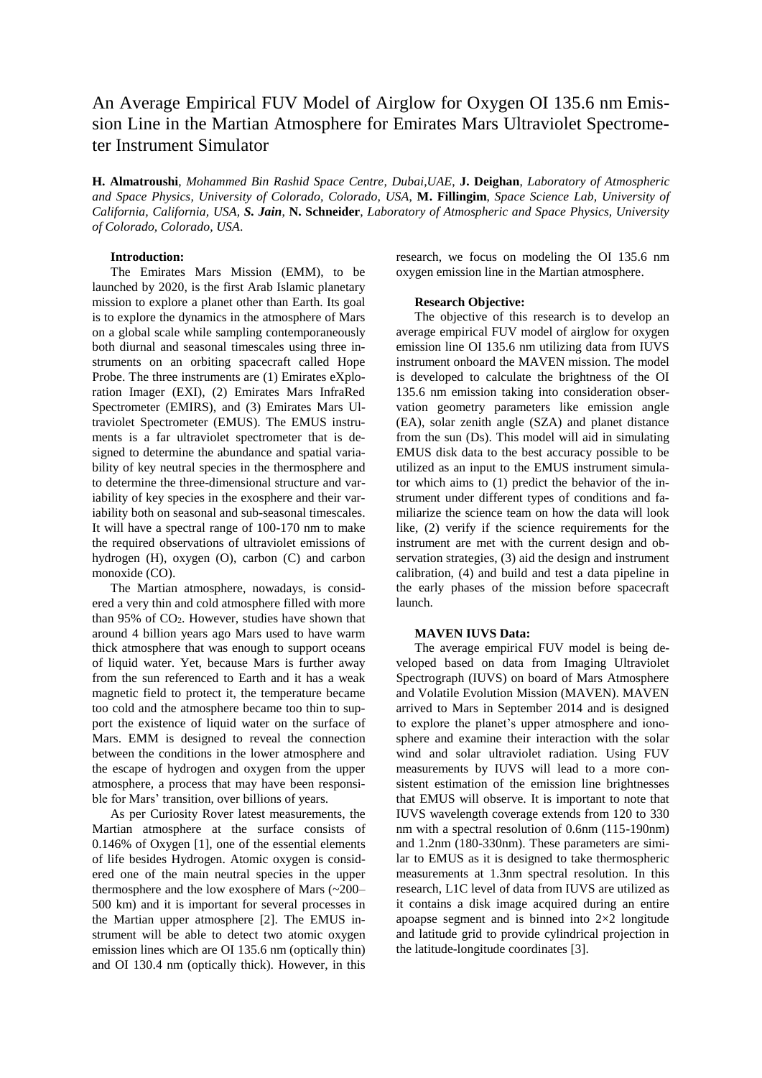# An Average Empirical FUV Model of Airglow for Oxygen OI 135.6 nm Emission Line in the Martian Atmosphere for Emirates Mars Ultraviolet Spectrometer Instrument Simulator

**H. Almatroushi**, *Mohammed Bin Rashid Space Centre, Dubai,UAE*, **J. Deighan**, *Laboratory of Atmospheric and Space Physics, University of Colorado, Colorado, USA*, **M. Fillingim**, *Space Science Lab, University of California, California, USA, S. Jain*, **N. Schneider**, *Laboratory of Atmospheric and Space Physics, University of Colorado, Colorado, USA*.

## **Introduction:**

The Emirates Mars Mission (EMM), to be launched by 2020, is the first Arab Islamic planetary mission to explore a planet other than Earth. Its goal is to explore the dynamics in the atmosphere of Mars on a global scale while sampling contemporaneously both diurnal and seasonal timescales using three instruments on an orbiting spacecraft called Hope Probe. The three instruments are (1) Emirates eXploration Imager (EXI), (2) Emirates Mars InfraRed Spectrometer (EMIRS), and (3) Emirates Mars Ultraviolet Spectrometer (EMUS). The EMUS instruments is a far ultraviolet spectrometer that is designed to determine the abundance and spatial variability of key neutral species in the thermosphere and to determine the three-dimensional structure and variability of key species in the exosphere and their variability both on seasonal and sub-seasonal timescales. It will have a spectral range of 100-170 nm to make the required observations of ultraviolet emissions of hydrogen (H), oxygen (O), carbon (C) and carbon monoxide (CO).

The Martian atmosphere, nowadays, is considered a very thin and cold atmosphere filled with more than 95% of CO2. However, studies have shown that around 4 billion years ago Mars used to have warm thick atmosphere that was enough to support oceans of liquid water. Yet, because Mars is further away from the sun referenced to Earth and it has a weak magnetic field to protect it, the temperature became too cold and the atmosphere became too thin to support the existence of liquid water on the surface of Mars. EMM is designed to reveal the connection between the conditions in the lower atmosphere and the escape of hydrogen and oxygen from the upper atmosphere, a process that may have been responsible for Mars' transition, over billions of years.

As per Curiosity Rover latest measurements, the Martian atmosphere at the surface consists of 0.146% of Oxygen [1], one of the essential elements of life besides Hydrogen. Atomic oxygen is considered one of the main neutral species in the upper thermosphere and the low exosphere of Mars (~200– 500 km) and it is important for several processes in the Martian upper atmosphere [2]. The EMUS instrument will be able to detect two atomic oxygen emission lines which are OI 135.6 nm (optically thin) and OI 130.4 nm (optically thick). However, in this research, we focus on modeling the OI 135.6 nm oxygen emission line in the Martian atmosphere.

## **Research Objective:**

The objective of this research is to develop an average empirical FUV model of airglow for oxygen emission line OI 135.6 nm utilizing data from IUVS instrument onboard the MAVEN mission. The model is developed to calculate the brightness of the OI 135.6 nm emission taking into consideration observation geometry parameters like emission angle (EA), solar zenith angle (SZA) and planet distance from the sun (Ds). This model will aid in simulating EMUS disk data to the best accuracy possible to be utilized as an input to the EMUS instrument simulator which aims to (1) predict the behavior of the instrument under different types of conditions and familiarize the science team on how the data will look like, (2) verify if the science requirements for the instrument are met with the current design and observation strategies, (3) aid the design and instrument calibration, (4) and build and test a data pipeline in the early phases of the mission before spacecraft launch.

### **MAVEN IUVS Data:**

The average empirical FUV model is being developed based on data from Imaging Ultraviolet Spectrograph (IUVS) on board of Mars Atmosphere and Volatile Evolution Mission (MAVEN). MAVEN arrived to Mars in September 2014 and is designed to explore the planet's upper atmosphere and ionosphere and examine their interaction with the solar wind and solar ultraviolet radiation. Using FUV measurements by IUVS will lead to a more consistent estimation of the emission line brightnesses that EMUS will observe. It is important to note that IUVS wavelength coverage extends from 120 to 330 nm with a spectral resolution of 0.6nm (115-190nm) and 1.2nm (180-330nm). These parameters are similar to EMUS as it is designed to take thermospheric measurements at 1.3nm spectral resolution. In this research, L1C level of data from IUVS are utilized as it contains a disk image acquired during an entire apoapse segment and is binned into 2×2 longitude and latitude grid to provide cylindrical projection in the latitude-longitude coordinates [3].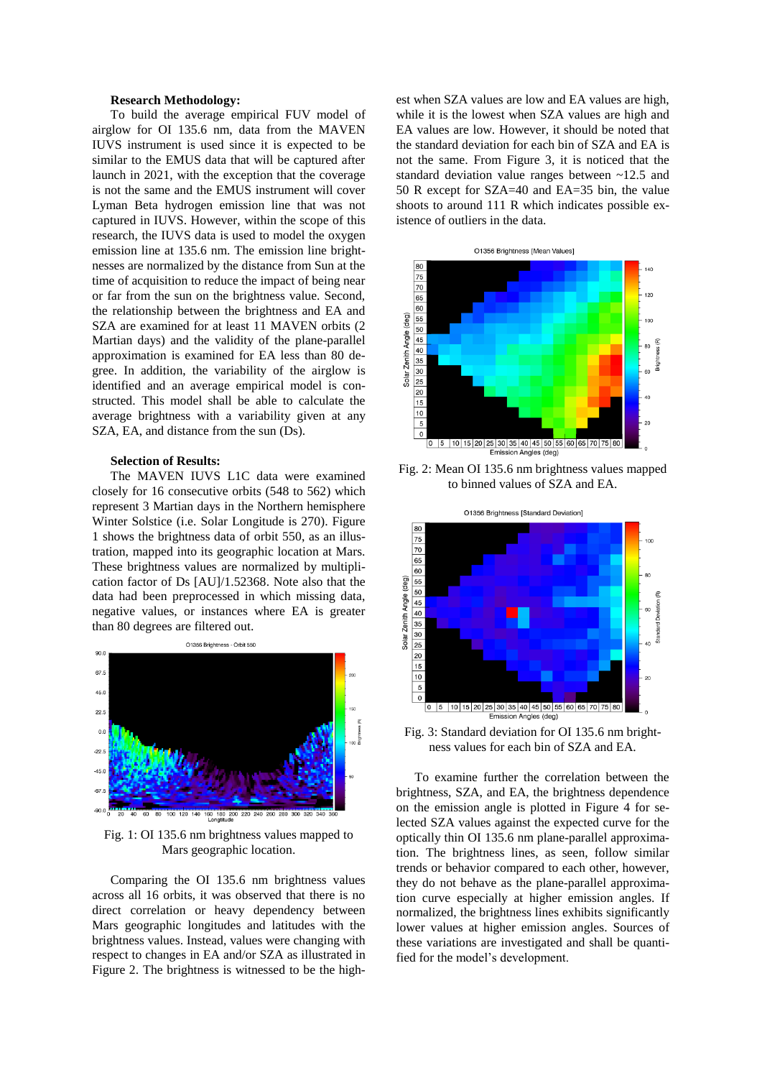### **Research Methodology:**

To build the average empirical FUV model of airglow for OI 135.6 nm, data from the MAVEN IUVS instrument is used since it is expected to be similar to the EMUS data that will be captured after launch in 2021, with the exception that the coverage is not the same and the EMUS instrument will cover Lyman Beta hydrogen emission line that was not captured in IUVS. However, within the scope of this research, the IUVS data is used to model the oxygen emission line at 135.6 nm. The emission line brightnesses are normalized by the distance from Sun at the time of acquisition to reduce the impact of being near or far from the sun on the brightness value. Second, the relationship between the brightness and EA and SZA are examined for at least 11 MAVEN orbits (2 Martian days) and the validity of the plane-parallel approximation is examined for EA less than 80 degree. In addition, the variability of the airglow is identified and an average empirical model is constructed. This model shall be able to calculate the average brightness with a variability given at any SZA, EA, and distance from the sun (Ds).

## **Selection of Results:**

The MAVEN IUVS L1C data were examined closely for 16 consecutive orbits (548 to 562) which represent 3 Martian days in the Northern hemisphere Winter Solstice (i.e. Solar Longitude is 270). Figure 1 shows the brightness data of orbit 550, as an illustration, mapped into its geographic location at Mars. These brightness values are normalized by multiplication factor of Ds [AU]/1.52368. Note also that the data had been preprocessed in which missing data, negative values, or instances where EA is greater than 80 degrees are filtered out.



Fig. 1: OI 135.6 nm brightness values mapped to Mars geographic location.

Comparing the OI 135.6 nm brightness values across all 16 orbits, it was observed that there is no direct correlation or heavy dependency between Mars geographic longitudes and latitudes with the brightness values. Instead, values were changing with respect to changes in EA and/or SZA as illustrated in Figure 2. The brightness is witnessed to be the highest when SZA values are low and EA values are high, while it is the lowest when SZA values are high and EA values are low. However, it should be noted that the standard deviation for each bin of SZA and EA is not the same. From Figure 3, it is noticed that the standard deviation value ranges between ~12.5 and 50 R except for SZA=40 and EA=35 bin, the value shoots to around 111 R which indicates possible existence of outliers in the data.



Fig. 2: Mean OI 135.6 nm brightness values mapped to binned values of SZA and EA.



Fig. 3: Standard deviation for OI 135.6 nm brightness values for each bin of SZA and EA.

To examine further the correlation between the brightness, SZA, and EA, the brightness dependence on the emission angle is plotted in Figure 4 for selected SZA values against the expected curve for the optically thin OI 135.6 nm plane-parallel approximation. The brightness lines, as seen, follow similar trends or behavior compared to each other, however, they do not behave as the plane-parallel approximation curve especially at higher emission angles. If normalized, the brightness lines exhibits significantly lower values at higher emission angles. Sources of these variations are investigated and shall be quantified for the model's development.